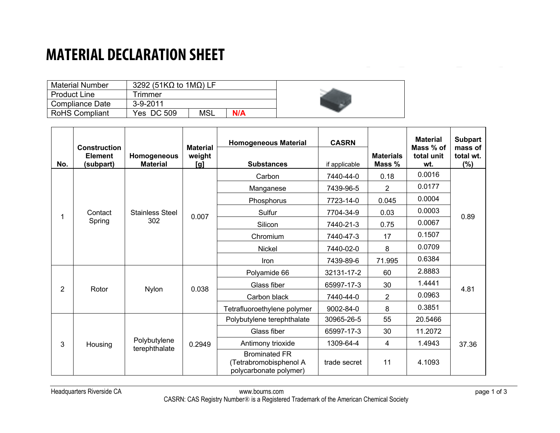### **MATERIAL DECLARATION SHEET**

| <b>Material Number</b> | 3292 (51K $\Omega$ to 1M $\Omega$ ) LF |            |     |  |
|------------------------|----------------------------------------|------------|-----|--|
| l Product Line         | <b>Trimmer</b>                         |            |     |  |
| Compliance Date        | 3-9-2011                               |            |     |  |
| RoHS Compliant         | Yes DC 509                             | <b>MSL</b> | N/A |  |

| No.                     | <b>Construction</b><br><b>Element</b><br>(subpart) | Homogeneous<br><b>Material</b> | <b>Material</b><br>weight<br>[g] | <b>Homogeneous Material</b><br><b>Substances</b>                         | <b>CASRN</b><br>if applicable | <b>Materials</b><br>Mass % | <b>Material</b><br>Mass % of<br>total unit<br>wt. | <b>Subpart</b><br>mass of<br>total wt.<br>$(\%)$ |
|-------------------------|----------------------------------------------------|--------------------------------|----------------------------------|--------------------------------------------------------------------------|-------------------------------|----------------------------|---------------------------------------------------|--------------------------------------------------|
| Contact<br>Spring       |                                                    |                                |                                  | Carbon                                                                   | 7440-44-0                     | 0.18                       | 0.0016                                            |                                                  |
|                         |                                                    |                                |                                  | Manganese                                                                | 7439-96-5                     | $\overline{2}$             | 0.0177                                            |                                                  |
|                         |                                                    |                                |                                  | Phosphorus                                                               | 7723-14-0                     | 0.045                      | 0.0004                                            |                                                  |
|                         | <b>Stainless Steel</b><br>302                      | 0.007                          | Sulfur                           | 7704-34-9                                                                | 0.03                          | 0.0003                     | 0.89                                              |                                                  |
|                         |                                                    |                                | Silicon                          | 7440-21-3                                                                | 0.75                          | 0.0067                     |                                                   |                                                  |
|                         |                                                    |                                |                                  | Chromium                                                                 | 7440-47-3                     | 17                         | 0.1507                                            |                                                  |
|                         |                                                    |                                |                                  | <b>Nickel</b>                                                            | 7440-02-0                     | 8                          | 0.0709                                            |                                                  |
|                         |                                                    |                                | Iron                             | 7439-89-6                                                                | 71.995                        | 0.6384                     |                                                   |                                                  |
| $\overline{2}$<br>Rotor |                                                    | <b>Nylon</b>                   | 0.038                            | Polyamide 66                                                             | 32131-17-2                    | 60                         | 2.8883                                            | 4.81                                             |
|                         |                                                    |                                |                                  | Glass fiber                                                              | 65997-17-3                    | 30                         | 1.4441                                            |                                                  |
|                         |                                                    |                                |                                  | Carbon black                                                             | 7440-44-0                     | $\overline{2}$             | 0.0963                                            |                                                  |
|                         |                                                    |                                | Tetrafluoroethylene polymer      | 9002-84-0                                                                | 8                             | 0.3851                     |                                                   |                                                  |
| 3                       |                                                    | Polybutylene<br>terephthalate  | 0.2949                           | Polybutylene terephthalate                                               | 30965-26-5                    | 55                         | 20.5466                                           | 37.36                                            |
|                         |                                                    |                                |                                  | Glass fiber                                                              | 65997-17-3                    | 30                         | 11.2072                                           |                                                  |
|                         | Housing                                            |                                |                                  | Antimony trioxide                                                        | 1309-64-4                     | 4                          | 1.4943                                            |                                                  |
|                         |                                                    |                                |                                  | <b>Brominated FR</b><br>(Tetrabromobisphenol A<br>polycarbonate polymer) | trade secret                  | 11                         | 4.1093                                            |                                                  |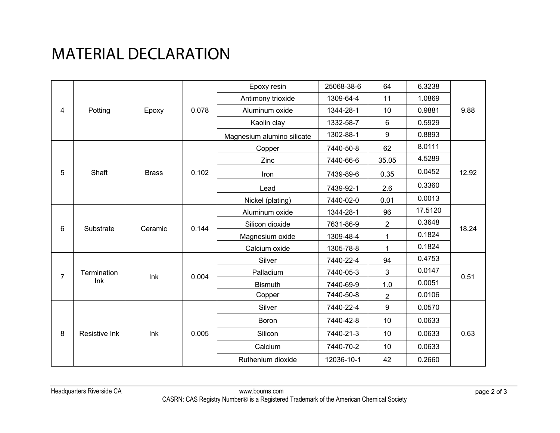# MATERIAL DECLARATION

| Potting<br>4   |                    | Epoxy        | 0.078       | Epoxy resin                | 25068-38-6 | 64             | 6.3238  |               |
|----------------|--------------------|--------------|-------------|----------------------------|------------|----------------|---------|---------------|
|                |                    |              |             | Antimony trioxide          | 1309-64-4  | 11             | 1.0869  |               |
|                |                    |              |             | Aluminum oxide             | 1344-28-1  | 10             | 0.9881  | 9.88          |
|                |                    |              | Kaolin clay | 1332-58-7                  | 6          | 0.5929         |         |               |
|                |                    |              |             | Magnesium alumino silicate | 1302-88-1  | $9$            | 0.8893  |               |
|                |                    | <b>Brass</b> | 0.102       | Copper                     | 7440-50-8  | 62             | 8.0111  | 12.92         |
|                |                    |              |             | Zinc                       | 7440-66-6  | 35.05          | 4.5289  |               |
| 5              | Shaft              |              |             | Iron                       | 7439-89-6  | 0.35           | 0.0452  |               |
|                |                    |              |             | Lead                       | 7439-92-1  | 2.6            | 0.3360  |               |
|                |                    |              |             | Nickel (plating)           | 7440-02-0  | 0.01           | 0.0013  |               |
|                |                    | Ceramic      | 0.144       | Aluminum oxide             | 1344-28-1  | 96             | 17.5120 | 18.24<br>0.51 |
| 6              | Substrate          |              |             | Silicon dioxide            | 7631-86-9  | $\overline{2}$ | 0.3648  |               |
|                |                    |              |             | Magnesium oxide            | 1309-48-4  | 1              | 0.1824  |               |
|                |                    |              |             | Calcium oxide              | 1305-78-8  | 1              | 0.1824  |               |
|                | Termination<br>Ink | Ink          | 0.004       | Silver                     | 7440-22-4  | 94             | 0.4753  |               |
| $\overline{7}$ |                    |              |             | Palladium                  | 7440-05-3  | 3              | 0.0147  |               |
|                |                    |              |             | <b>Bismuth</b>             | 7440-69-9  | 1.0            | 0.0051  |               |
|                |                    |              |             | Copper                     | 7440-50-8  | $\overline{2}$ | 0.0106  |               |
|                | Resistive Ink      | Ink          | 0.005       | Silver                     | 7440-22-4  | 9              | 0.0570  | 0.63          |
|                |                    |              |             | <b>Boron</b>               | 7440-42-8  | 10             | 0.0633  |               |
| 8              |                    |              |             | Silicon                    | 7440-21-3  | 10             | 0.0633  |               |
|                |                    |              |             | Calcium                    | 7440-70-2  | 10             | 0.0633  |               |
|                |                    |              |             | Ruthenium dioxide          | 12036-10-1 | 42             | 0.2660  |               |